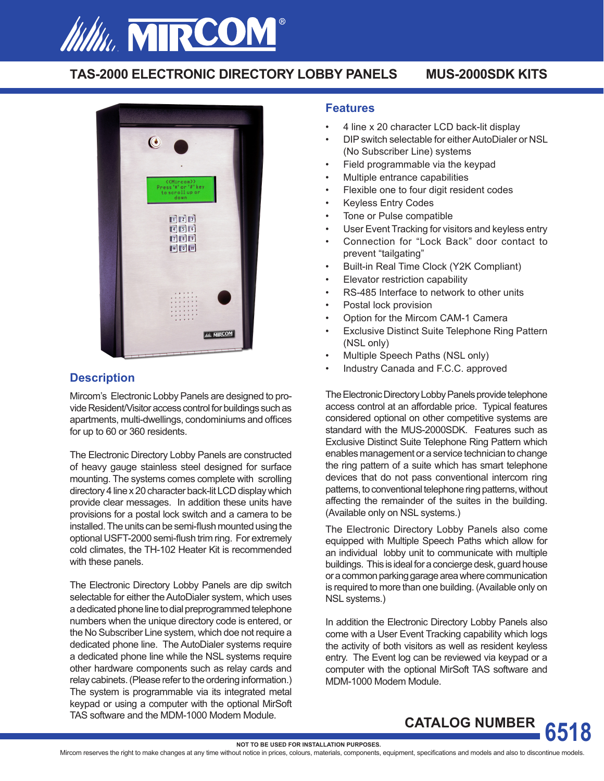

# **TAS-2000 ELECTRONIC DIRECTORY LOBBY PANELS MUS-2000SDK KITS**



# **Description**

Mircom's Electronic Lobby Panels are designed to provide Resident/Visitor access control for buildings such as apartments, multi-dwellings, condominiums and offices for up to 60 or 360 residents.

The Electronic Directory Lobby Panels are constructed of heavy gauge stainless steel designed for surface mounting. The systems comes complete with scrolling directory 4 line x 20 character back-lit LCD display which provide clear messages. In addition these units have provisions for a postal lock switch and a camera to be installed. The units can be semi-flush mounted using the optional USFT-2000 semi-flush trim ring. For extremely cold climates, the TH-102 Heater Kit is recommended with these panels.

The Electronic Directory Lobby Panels are dip switch selectable for either the AutoDialer system, which uses a dedicated phone line to dial preprogrammed telephone numbers when the unique directory code is entered, or the No Subscriber Line system, which doe not require a dedicated phone line. The AutoDialer systems require a dedicated phone line while the NSL systems require other hardware components such as relay cards and relay cabinets. (Please refer to the ordering information.) The system is programmable via its integrated metal keypad or using a computer with the optional MirSoft TAS software and the MDM-1000 Modem Module.

#### **Features**

- 4 line x 20 character LCD back-lit display
- DIP switch selectable for either AutoDialer or NSL (No Subscriber Line) systems
- Field programmable via the keypad
- Multiple entrance capabilities
- Flexible one to four digit resident codes
- Keyless Entry Codes
- Tone or Pulse compatible
- User Event Tracking for visitors and keyless entry
- Connection for "Lock Back" door contact to prevent "tailgating"
- Built-in Real Time Clock (Y2K Compliant)
- Elevator restriction capability
- RS-485 Interface to network to other units
- Postal lock provision
- Option for the Mircom CAM-1 Camera
- **Exclusive Distinct Suite Telephone Ring Pattern** (NSL only)
- Multiple Speech Paths (NSL only)
- Industry Canada and F.C.C. approved

The Electronic Directory Lobby Panels provide telephone access control at an affordable price. Typical features considered optional on other competitive systems are standard with the MUS-2000SDK. Features such as Exclusive Distinct Suite Telephone Ring Pattern which enables management or a service technician to change the ring pattern of a suite which has smart telephone devices that do not pass conventional intercom ring patterns, to conventional telephone ring patterns, without affecting the remainder of the suites in the building. (Available only on NSL systems.)

The Electronic Directory Lobby Panels also come equipped with Multiple Speech Paths which allow for an individual lobby unit to communicate with multiple buildings. This is ideal for a concierge desk, guard house or a common parking garage area where communication is required to more than one building. (Available only on NSL systems.)

In addition the Electronic Directory Lobby Panels also come with a User Event Tracking capability which logs the activity of both visitors as well as resident keyless entry. The Event log can be reviewed via keypad or a computer with the optional MirSoft TAS software and MDM-1000 Modem Module.

**CATALOG NUMBER**